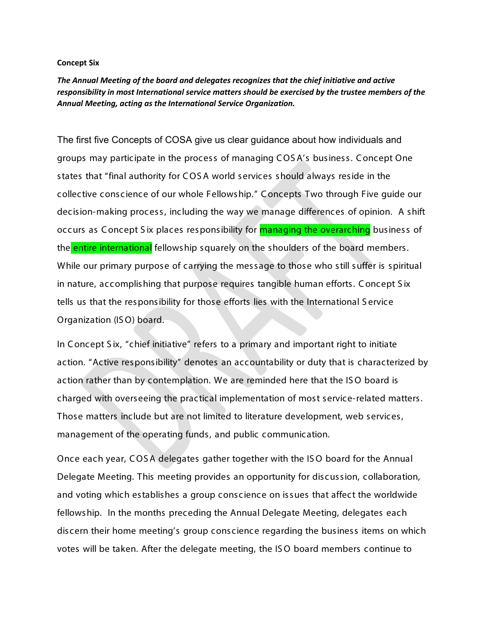## **Concept Six**

*The Annual Meeting of the board and delegates recognizes that the chief initiative and active responsibility in most International service matters should be exercised by the trustee members of the Annual Meeting, acting as the International Service Organization.*

The first five Concepts of COSA give us clear guidance about how individuals and groups may participate in the process of managing C OS A's business. C oncept One states that "final authority for C OS A world services should always reside in the collective conscience of our whole Fellowship." C oncepts Two through Five guide our decision-making process, including the way we manage differences of opinion. A shift occurs as Concept Six places responsibility for **managing the overarching** business of the entire international fellowship squarely on the shoulders of the board members. While our primary purpose of carrying the message to those who still suffer is spiritual in nature, accomplishing that purpose requires tangible human efforts. C oncept S ix tells us that the responsibility for those efforts lies with the International S ervice Organization (IS O) board.

In C oncept S ix, "chief initiative" refers to a primary and important right to initiate action. "Active responsibility" denotes an accountability or duty that is characterized by action rather than by contemplation. We are reminded here that the IS O board is charged with overseeing the practical implementation of most service-related matters. Those matters include but are not limited to literature development, web services, management of the operating funds, and public communication.

Once each year, C OS A delegates gather together with the IS O board for the Annual Delegate Meeting. This meeting provides an opportunity for discussion, collaboration, and voting which establishes a group conscience on issues that affect the worldwide fellowship. In the months preceding the Annual Delegate Meeting, delegates each discern their home meeting's group conscience regarding the business items on which votes will be taken. After the delegate meeting, the IS O board members continue to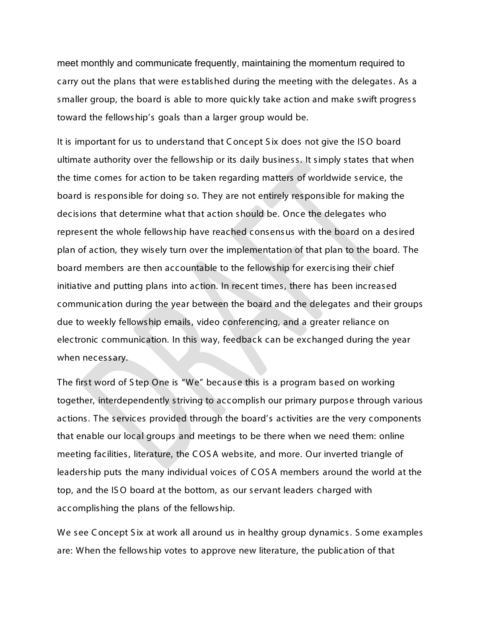meet monthly and communicate frequently, maintaining the momentum required to carry out the plans that were established during the meeting with the delegates. As a smaller group, the board is able to more quickly take action and make swift progress toward the fellowship's goals than a larger group would be.

It is important for us to understand that C oncept S ix does not give the IS O board ultimate authority over the fellowship or its daily business. It simply states that when the time comes for action to be taken regarding matters of worldwide service, the board is responsible for doing so. They are not entirely responsible for making the decisions that determine what that action should be. Once the delegates who represent the whole fellowship have reached consensus with the board on a desired plan of action, they wisely turn over the implementation of that plan to the board. The board members are then accountable to the fellowship for exercising their chief initiative and putting plans into action. In recent times, there has been increased communication during the year between the board and the delegates and their groups due to weekly fellowship emails, video conferencing, and a greater reliance on electronic communication. In this way, feedback can be exchanged during the year when necessary.

The first word of S tep One is "We" because this is a program based on working together, interdependently striving to accomplish our primary purpose through various actions. The services provided through the board's activities are the very components that enable our local groups and meetings to be there when we need them: online meeting facilities, literature, the C OS A website, and more. Our inverted triangle of leadership puts the many individual voices of C OS A members around the world at the top, and the IS O board at the bottom, as our servant leaders charged with accomplishing the plans of the fellowship.

We see Concept Six at work all around us in healthy group dynamics. Some examples are: When the fellowship votes to approve new literature, the publication of that